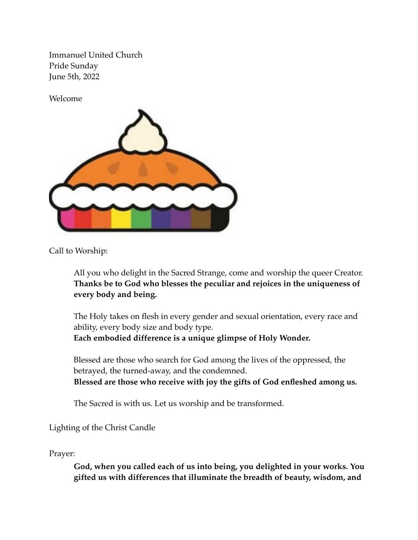Immanuel United Church Pride Sunday June 5th, 2022

Welcome



Call to Worship:

All you who delight in the Sacred Strange, come and worship the queer Creator. **Thanks be to God who blesses the peculiar and rejoices in the uniqueness of every body and being.**

The Holy takes on flesh in every gender and sexual orientation, every race and ability, every body size and body type. **Each embodied difference is a unique glimpse of Holy Wonder.**

Blessed are those who search for God among the lives of the oppressed, the betrayed, the turned-away, and the condemned. **Blessed are those who receive with joy the gifts of God enfleshed among us.**

The Sacred is with us. Let us worship and be transformed.

Lighting of the Christ Candle

Prayer:

**God, when you called each of us into being, you delighted in your works. You gifted us with differences that illuminate the breadth of beauty, wisdom, and**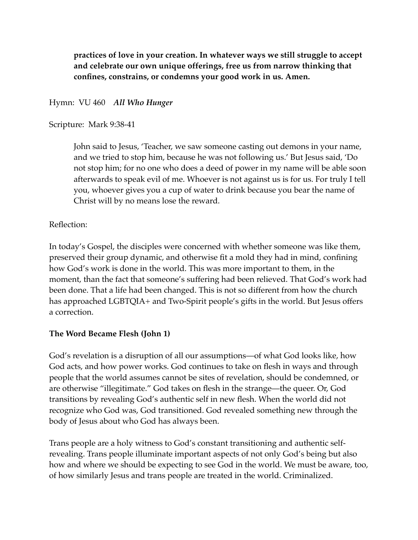**practices of love in your creation. In whatever ways we still struggle to accept and celebrate our own unique offerings, free us from narrow thinking that confines, constrains, or condemns your good work in us. Amen.**

Hymn: VU 460 *All Who Hunger*

#### Scripture: Mark 9:38-41

John said to Jesus, 'Teacher, we saw someone casting out demons in your name, and we tried to stop him, because he was not following us.' But Jesus said, 'Do not stop him; for no one who does a deed of power in my name will be able soon afterwards to speak evil of me. Whoever is not against us is for us. For truly I tell you, whoever gives you a cup of water to drink because you bear the name of Christ will by no means lose the reward.

# Reflection:

In today's Gospel, the disciples were concerned with whether someone was like them, preserved their group dynamic, and otherwise fit a mold they had in mind, confining how God's work is done in the world. This was more important to them, in the moment, than the fact that someone's suffering had been relieved. That God's work had been done. That a life had been changed. This is not so different from how the church has approached LGBTQIA+ and Two-Spirit people's gifts in the world. But Jesus offers a correction.

# **The Word Became Flesh (John 1)**

God's revelation is a disruption of all our assumptions—of what God looks like, how God acts, and how power works. God continues to take on flesh in ways and through people that the world assumes cannot be sites of revelation, should be condemned, or are otherwise "illegitimate." God takes on flesh in the strange—the queer. Or, God transitions by revealing God's authentic self in new flesh. When the world did not recognize who God was, God transitioned. God revealed something new through the body of Jesus about who God has always been.

Trans people are a holy witness to God's constant transitioning and authentic selfrevealing. Trans people illuminate important aspects of not only God's being but also how and where we should be expecting to see God in the world. We must be aware, too, of how similarly Jesus and trans people are treated in the world. Criminalized.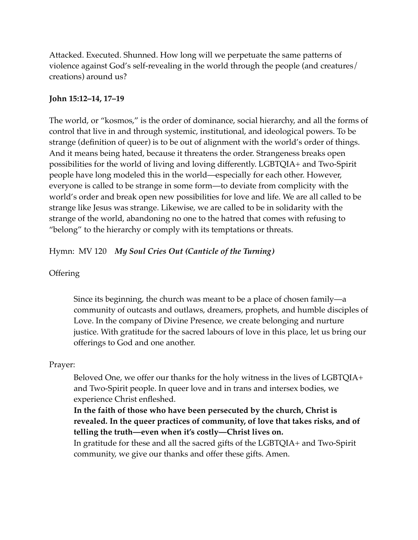Attacked. Executed. Shunned. How long will we perpetuate the same patterns of violence against God's self-revealing in the world through the people (and creatures/ creations) around us?

### **John 15:12–14, 17–19**

The world, or "kosmos," is the order of dominance, social hierarchy, and all the forms of control that live in and through systemic, institutional, and ideological powers. To be strange (definition of queer) is to be out of alignment with the world's order of things. And it means being hated, because it threatens the order. Strangeness breaks open possibilities for the world of living and loving differently. LGBTQIA+ and Two-Spirit people have long modeled this in the world—especially for each other. However, everyone is called to be strange in some form—to deviate from complicity with the world's order and break open new possibilities for love and life. We are all called to be strange like Jesus was strange. Likewise, we are called to be in solidarity with the strange of the world, abandoning no one to the hatred that comes with refusing to "belong" to the hierarchy or comply with its temptations or threats.

Hymn: MV 120 *My Soul Cries Out (Canticle of the Turning)*

# **Offering**

Since its beginning, the church was meant to be a place of chosen family—a community of outcasts and outlaws, dreamers, prophets, and humble disciples of Love. In the company of Divine Presence, we create belonging and nurture justice. With gratitude for the sacred labours of love in this place, let us bring our offerings to God and one another.

#### Prayer:

Beloved One, we offer our thanks for the holy witness in the lives of LGBTQIA+ and Two-Spirit people. In queer love and in trans and intersex bodies, we experience Christ enfleshed.

**In the faith of those who have been persecuted by the church, Christ is revealed. In the queer practices of community, of love that takes risks, and of telling the truth—even when it's costly—Christ lives on.**

In gratitude for these and all the sacred gifts of the LGBTQIA+ and Two-Spirit community, we give our thanks and offer these gifts. Amen.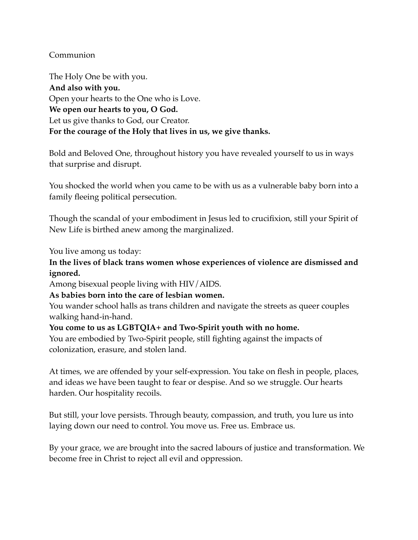# Communion

The Holy One be with you. **And also with you.** Open your hearts to the One who is Love. **We open our hearts to you, O God.** Let us give thanks to God, our Creator. **For the courage of the Holy that lives in us, we give thanks.**

Bold and Beloved One, throughout history you have revealed yourself to us in ways that surprise and disrupt.

You shocked the world when you came to be with us as a vulnerable baby born into a family fleeing political persecution.

Though the scandal of your embodiment in Jesus led to crucifixion, still your Spirit of New Life is birthed anew among the marginalized.

You live among us today:

# **In the lives of black trans women whose experiences of violence are dismissed and ignored.**

Among bisexual people living with HIV/AIDS.

# **As babies born into the care of lesbian women.**

You wander school halls as trans children and navigate the streets as queer couples walking hand-in-hand.

# **You come to us as LGBTQIA+ and Two-Spirit youth with no home.**

You are embodied by Two-Spirit people, still fighting against the impacts of colonization, erasure, and stolen land.

At times, we are offended by your self-expression. You take on flesh in people, places, and ideas we have been taught to fear or despise. And so we struggle. Our hearts harden. Our hospitality recoils.

But still, your love persists. Through beauty, compassion, and truth, you lure us into laying down our need to control. You move us. Free us. Embrace us.

By your grace, we are brought into the sacred labours of justice and transformation. We become free in Christ to reject all evil and oppression.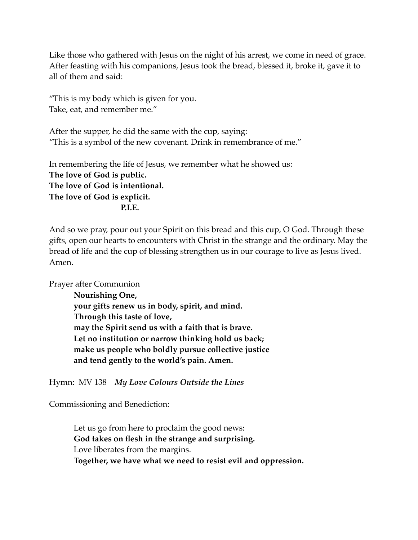Like those who gathered with Jesus on the night of his arrest, we come in need of grace. After feasting with his companions, Jesus took the bread, blessed it, broke it, gave it to all of them and said:

"This is my body which is given for you. Take, eat, and remember me."

After the supper, he did the same with the cup, saying: "This is a symbol of the new covenant. Drink in remembrance of me."

In remembering the life of Jesus, we remember what he showed us: **The love of God is public. The love of God is intentional. The love of God is explicit. P.I.E.**

And so we pray, pour out your Spirit on this bread and this cup, O God. Through these gifts, open our hearts to encounters with Christ in the strange and the ordinary. May the bread of life and the cup of blessing strengthen us in our courage to live as Jesus lived. Amen.

Prayer after Communion

**Nourishing One, your gifts renew us in body, spirit, and mind. Through this taste of love, may the Spirit send us with a faith that is brave. Let no institution or narrow thinking hold us back; make us people who boldly pursue collective justice and tend gently to the world's pain. Amen.**

Hymn: MV 138 *My Love Colours Outside the Lines*

Commissioning and Benediction:

Let us go from here to proclaim the good news: **God takes on flesh in the strange and surprising.** Love liberates from the margins. **Together, we have what we need to resist evil and oppression.**